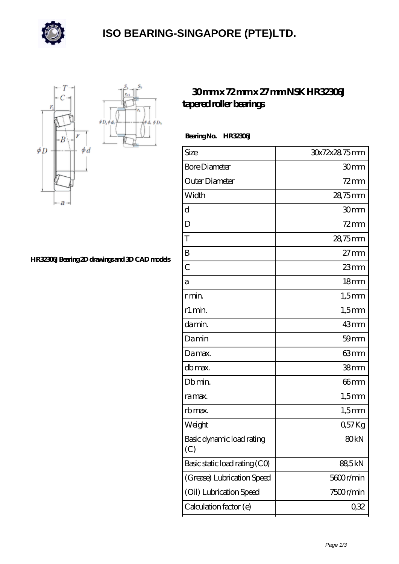

## **[ISO BEARING-SINGAPORE \(PTE\)LTD.](https://calvadosbnb.com)**

 $\oint D_h$ 



## **[HR32306J Bearing 2D drawings and 3D CAD models](https://calvadosbnb.com/pic-65128016.html)**

## **[30 mm x 72 mm x 27 mm NSK HR32306J](https://calvadosbnb.com/nsk-hr32306j-bearing/) [tapered roller bearings](https://calvadosbnb.com/nsk-hr32306j-bearing/)**

 **Bearing No. HR32306J**

| Size                             | 30x72x28.75mm    |
|----------------------------------|------------------|
| <b>Bore Diameter</b>             | 30 <sub>mm</sub> |
| Outer Diameter                   | $72 \text{mm}$   |
| Width                            | 28,75mm          |
| d                                | 30mm             |
| D                                | $72 \text{mm}$   |
| T                                | 28,75mm          |
| B                                | $27 \text{mm}$   |
| $\overline{C}$                   | 23mm             |
| а                                | 18 <sub>mm</sub> |
| r min.                           | $1,5$ mm         |
| r1 min.                          | $1,5$ mm         |
| da min.                          | 43mm             |
| Damin                            | $59$ mm          |
| Damax.                           | 63mm             |
| db max.                          | 38 <sub>mm</sub> |
| Db min.                          | 66mm             |
| ra max.                          | $1,5$ mm         |
| rb max.                          | $1,5$ mm         |
| Weight                           | Q57Kg            |
| Basic dynamic load rating<br>(C) | 80 <sub>kN</sub> |
| Basic static load rating (CO)    | 88,5kN           |
| (Grease) Lubrication Speed       | 5600r/min        |
| (Oil) Lubrication Speed          | 7500r/min        |
| Calculation factor (e)           | 0,32             |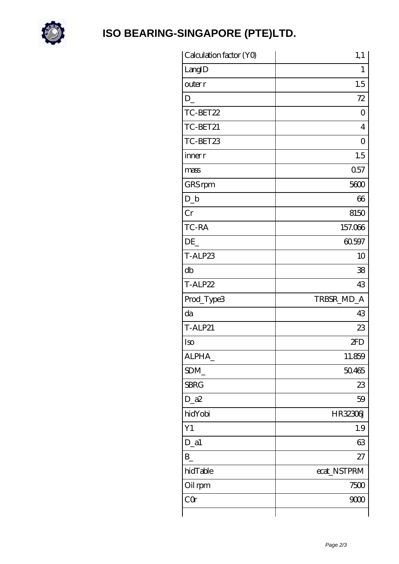

## ISO BEARING-SINGAPORE (PTE)LTD.

| Calculation factor (YO) | 1,1            |
|-------------------------|----------------|
| LangID                  | 1              |
| outer r                 | 1.5            |
| D                       | 72             |
| TC-BET22                | 0              |
| TC-BET21                | $\overline{4}$ |
| TC-BET23                | $\overline{0}$ |
| inner r                 | 1.5            |
| mass                    | 0.57           |
| GRS rpm                 | 5600           |
| $D_b$                   | 66             |
| Cr                      | 8150           |
| TC-RA                   | 157.066        |
| DE                      | 60.597         |
| T-ALP23                 | 10             |
| db                      | 38             |
| T-ALP22                 | 43             |
| Prod_Type3              | TRBSR_MD_A     |
| da                      | 43             |
| <b>T-ALP21</b>          | 23             |
| Iso                     | 2FD            |
| ALPHA_                  | 11.859         |
| SDM                     | 50.465         |
| <b>SBRG</b>             | 23             |
| $D_a2$                  | 59             |
| hidYobi                 | HR32306J       |
| Y1                      | 1.9            |
| $D_a1$                  | 63             |
| $B_{-}$                 | 27             |
| hidTable                | ecat_NSTPRM    |
| Oil rpm                 | 7500           |
| CQr                     | 9000           |
|                         |                |